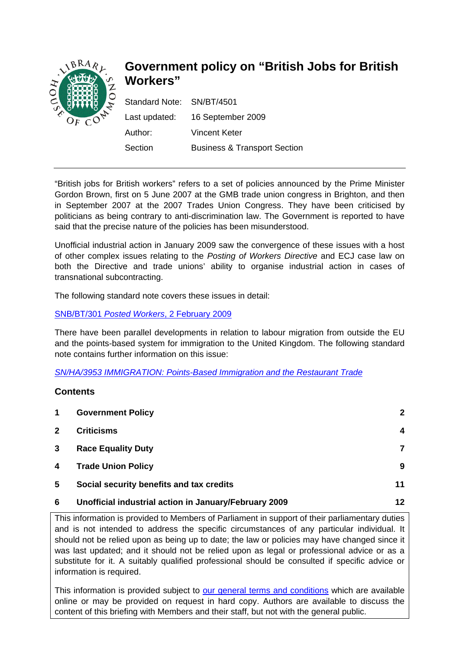

# **Government policy on "British Jobs for British Workers"**

| Standard Note: SN/BT/4501 |                                         |
|---------------------------|-----------------------------------------|
| Last updated:             | 16 September 2009                       |
| Author:                   | Vincent Keter                           |
| Section                   | <b>Business &amp; Transport Section</b> |

"British jobs for British workers" refers to a set of policies announced by the Prime Minister Gordon Brown, first on 5 June 2007 at the GMB trade union congress in Brighton, and then in September 2007 at the 2007 Trades Union Congress. They have been criticised by politicians as being contrary to anti-discrimination law. The Government is reported to have said that the precise nature of the policies has been misunderstood.

Unofficial industrial action in January 2009 saw the convergence of these issues with a host of other complex issues relating to the *Posting of Workers Directive* and ECJ case law on both the Directive and trade unions' ability to organise industrial action in cases of transnational subcontracting.

The following standard note covers these issues in detail:

SNB/BT/301 *Posted Workers*[, 2 February 2009](http://pims.parliament.uk:81/PIMS/Static%20Files/Extended%20File%20Scan%20Files/LIBRARY_OTHER_PAPERS/STANDARD_NOTE/snbt-00301.pdf)

There have been parallel developments in relation to labour migration from outside the EU and the points-based system for immigration to the United Kingdom. The following standard note contains further information on this issue:

*[SN/HA/3953 IMMIGRATION: Points-Based Immigration and the Restaurant Trade](http://pims.parliament.uk:81/PIMS/Static%20Files/Extended%20File%20Scan%20Files/LIBRARY_OTHER_PAPERS/STANDARD_NOTE/snha-03953.pdf)*

### **Contents**

| $\mathbf 1$  | <b>Government Policy</b>                              | 2  |
|--------------|-------------------------------------------------------|----|
| $\mathbf{2}$ | <b>Criticisms</b>                                     | 4  |
| 3            | <b>Race Equality Duty</b>                             |    |
| 4            | <b>Trade Union Policy</b>                             | 9  |
| 5            | Social security benefits and tax credits              | 11 |
| 6            | Unofficial industrial action in January/February 2009 | 12 |

This information is provided to Members of Parliament in support of their parliamentary duties and is not intended to address the specific circumstances of any particular individual. It should not be relied upon as being up to date; the law or policies may have changed since it was last updated; and it should not be relied upon as legal or professional advice or as a substitute for it. A suitably qualified professional should be consulted if specific advice or information is required.

This information is provided subject to our general terms and conditions which are available online or may be provided on request in hard copy. Authors are available to discuss the content of this briefing with Members and their staff, but not with the general public.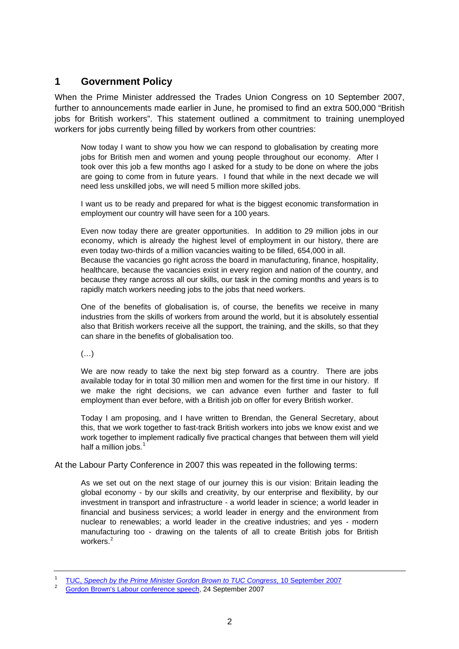### <span id="page-1-0"></span>**1 Government Policy**

When the Prime Minister addressed the Trades Union Congress on 10 September 2007, further to announcements made earlier in June, he promised to find an extra 500,000 "British jobs for British workers". This statement outlined a commitment to training unemployed workers for jobs currently being filled by workers from other countries:

Now today I want to show you how we can respond to globalisation by creating more jobs for British men and women and young people throughout our economy. After I took over this job a few months ago I asked for a study to be done on where the jobs are going to come from in future years. I found that while in the next decade we will need less unskilled jobs, we will need 5 million more skilled jobs.

I want us to be ready and prepared for what is the biggest economic transformation in employment our country will have seen for a 100 years.

Even now today there are greater opportunities. In addition to 29 million jobs in our economy, which is already the highest level of employment in our history, there are even today two-thirds of a million vacancies waiting to be filled, 654,000 in all. Because the vacancies go right across the board in manufacturing, finance, hospitality, healthcare, because the vacancies exist in every region and nation of the country, and because they range across all our skills, our task in the coming months and years is to rapidly match workers needing jobs to the jobs that need workers.

One of the benefits of globalisation is, of course, the benefits we receive in many industries from the skills of workers from around the world, but it is absolutely essential also that British workers receive all the support, the training, and the skills, so that they can share in the benefits of globalisation too.

(…)

We are now ready to take the next big step forward as a country. There are jobs available today for in total 30 million men and women for the first time in our history. If we make the right decisions, we can advance even further and faster to full employment than ever before, with a British job on offer for every British worker.

Today I am proposing, and I have written to Brendan, the General Secretary, about this, that we work together to fast-track British workers into jobs we know exist and we work together to implement radically five practical changes that between them will yield half a million jobs. $<sup>1</sup>$  $<sup>1</sup>$  $<sup>1</sup>$ </sup>

At the Labour Party Conference in 2007 this was repeated in the following terms:

As we set out on the next stage of our journey this is our vision: Britain leading the global economy - by our skills and creativity, by our enterprise and flexibility, by our investment in transport and infrastructure - a world leader in science; a world leader in financial and business services; a world leader in energy and the environment from nuclear to renewables; a world leader in the creative industries; and yes - modern manufacturing too - drawing on the talents of all to create British jobs for British workers.<sup>[2](#page-1-2)</sup>

<span id="page-1-1"></span><sup>1</sup> TUC, *[Speech by the Prime Minister Gordon Brown to TUC Congress](http://www.tuc.org.uk/congress/tuc-13692-f0.cfm)*, 10 September 2007

<span id="page-1-2"></span><sup>2</sup> [Gordon Brown's Labour conference speech](http://www.24dash.com/news/Central_Government/2007-09-24-Gordon-Brown-s-Labour-conference-speech-in-full), 24 September 2007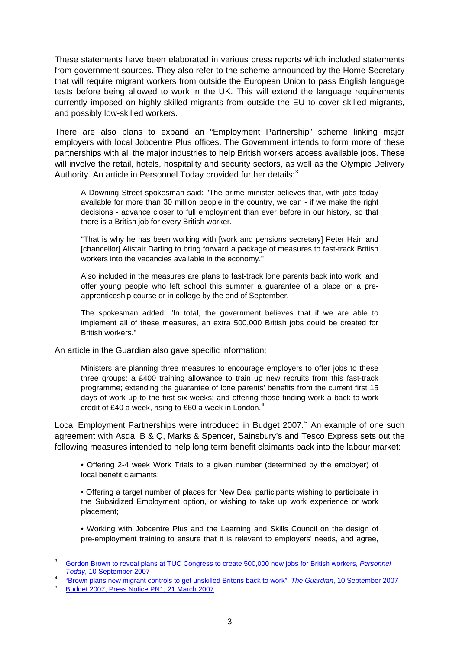These statements have been elaborated in various press reports which included statements from government sources. They also refer to the scheme announced by the Home Secretary that will require migrant workers from outside the European Union to pass English language tests before being allowed to work in the UK. This will extend the language requirements currently imposed on highly-skilled migrants from outside the EU to cover skilled migrants, and possibly low-skilled workers.

There are also plans to expand an "Employment Partnership" scheme linking major employers with local Jobcentre Plus offices. The Government intends to form more of these partnerships with all the major industries to help British workers access available jobs. These will involve the retail, hotels, hospitality and security sectors, as well as the Olympic Delivery Authority. An article in Personnel Today provided further details:<sup>[3](#page-2-0)</sup>

A Downing Street spokesman said: "The prime minister believes that, with jobs today available for more than 30 million people in the country, we can - if we make the right decisions - advance closer to full employment than ever before in our history, so that there is a British job for every British worker.

"That is why he has been working with [work and pensions secretary] Peter Hain and [chancellor] Alistair Darling to bring forward a package of measures to fast-track British workers into the vacancies available in the economy."

Also included in the measures are plans to fast-track lone parents back into work, and offer young people who left school this summer a guarantee of a place on a preapprenticeship course or in college by the end of September.

The spokesman added: "In total, the government believes that if we are able to implement all of these measures, an extra 500,000 British jobs could be created for British workers."

An article in the Guardian also gave specific information:

Ministers are planning three measures to encourage employers to offer jobs to these three groups: a £400 training allowance to train up new recruits from this fast-track programme; extending the guarantee of lone parents' benefits from the current first 15 days of work up to the first six weeks; and offering those finding work a back-to-work credit of £[4](#page-2-1)0 a week, rising to £60 a week in London. $4$ 

Local Employment Partnerships were introduced in Budget 2007.<sup>[5](#page-2-2)</sup> An example of one such agreement with Asda, B & Q, Marks & Spencer, Sainsbury's and Tesco Express sets out the following measures intended to help long term benefit claimants back into the labour market:

• Offering 2-4 week Work Trials to a given number (determined by the employer) of local benefit claimants;

• Offering a target number of places for New Deal participants wishing to participate in the Subsidized Employment option, or wishing to take up work experience or work placement;

• Working with Jobcentre Plus and the Learning and Skills Council on the design of pre-employment training to ensure that it is relevant to employers' needs, and agree,

<span id="page-2-1"></span>4 ["Brown plans new migrant controls to get unskilled Britons back to work",](http://politics.guardian.co.uk/homeaffairs/story/0,,2165888,00.html) *The Guardian*, 10 September 2007

<span id="page-2-0"></span><sup>3</sup> [Gordon Brown to reveal plans at TUC Congress to create 500,000 new jobs for British workers,](http://www.personneltoday.com/Articles/2007/09/10/42261/gordon-brown-to-reveal-plans-at-tuc-congress-to-create-500000-new-jobs-for-british.html) *Personnel Today*[, 10 September 2007](http://www.personneltoday.com/Articles/2007/09/10/42261/gordon-brown-to-reveal-plans-at-tuc-congress-to-create-500000-new-jobs-for-british.html)

<span id="page-2-2"></span><sup>5</sup> [Budget 2007, Press Notice PN1, 21 March 2007](http://www.hm-treasury.gov.uk/budget/budget_07/press_notices/bud_bud07_press01.cfm)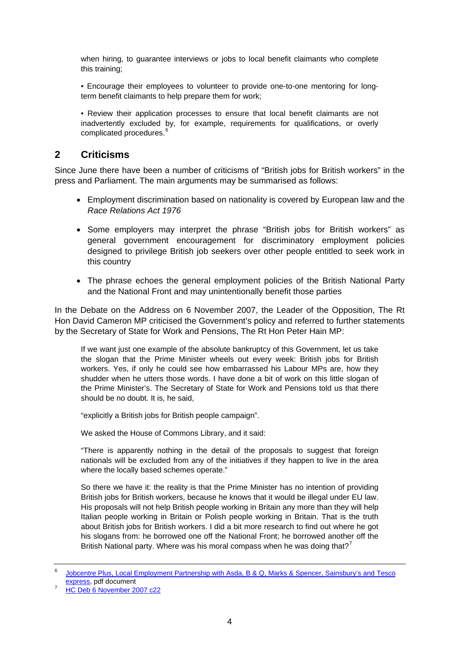<span id="page-3-0"></span>when hiring, to guarantee interviews or jobs to local benefit claimants who complete this training;

• Encourage their employees to volunteer to provide one-to-one mentoring for longterm benefit claimants to help prepare them for work;

• Review their application processes to ensure that local benefit claimants are not inadvertently excluded by, for example, requirements for qualifications, or overly complicated procedures.<sup>[6](#page-3-1)</sup>

### **2 Criticisms**

Since June there have been a number of criticisms of "British jobs for British workers" in the press and Parliament. The main arguments may be summarised as follows:

- Employment discrimination based on nationality is covered by European law and the *Race Relations Act 1976*
- Some employers may interpret the phrase "British jobs for British workers" as general government encouragement for discriminatory employment policies designed to privilege British job seekers over other people entitled to seek work in this country
- The phrase echoes the general employment policies of the British National Party and the National Front and may unintentionally benefit those parties

In the Debate on the Address on 6 November 2007, the Leader of the Opposition, The Rt Hon David Cameron MP criticised the Government's policy and referred to further statements by the Secretary of State for Work and Pensions, The Rt Hon Peter Hain MP:

If we want just one example of the absolute bankruptcy of this Government, let us take the slogan that the Prime Minister wheels out every week: British jobs for British workers. Yes, if only he could see how embarrassed his Labour MPs are, how they shudder when he utters those words. I have done a bit of work on this little slogan of the Prime Minister's. The Secretary of State for Work and Pensions told us that there should be no doubt. It is, he said,

"explicitly a British jobs for British people campaign".

We asked the House of Commons Library, and it said:

"There is apparently nothing in the detail of the proposals to suggest that foreign nationals will be excluded from any of the initiatives if they happen to live in the area where the locally based schemes operate."

So there we have it: the reality is that the Prime Minister has no intention of providing British jobs for British workers, because he knows that it would be illegal under EU law. His proposals will not help British people working in Britain any more than they will help Italian people working in Britain or Polish people working in Britain. That is the truth about British jobs for British workers. I did a bit more research to find out where he got his slogans from: he borrowed one off the National Front; he borrowed another off the British National party. Where was his moral compass when he was doing that?<sup>[7](#page-3-2)</sup>

<span id="page-3-1"></span><sup>6</sup> [Jobcentre Plus, Local Employment Partnership with Asda, B & Q, Marks & Spencer, Sainsbury's and Tesco](http://www.jobcentreplus.gov.uk/JCP/stellent/groups/jcp/documents/websitecontent/dev_014768.pdf)  [express,](http://www.jobcentreplus.gov.uk/JCP/stellent/groups/jcp/documents/websitecontent/dev_014768.pdf) pdf document

<span id="page-3-2"></span>[HC Deb 6 November 2007 c22](http://www.publications.parliament.uk/pa/cm200708/cmhansrd/cm071106/debtext/71106-0004.htm)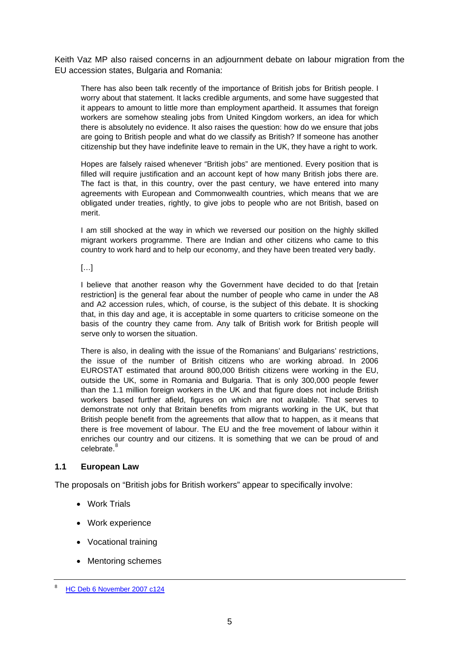Keith Vaz MP also raised concerns in an adjournment debate on labour migration from the EU accession states, Bulgaria and Romania:

There has also been talk recently of the importance of British jobs for British people. I worry about that statement. It lacks credible arguments, and some have suggested that it appears to amount to little more than employment apartheid. It assumes that foreign workers are somehow stealing jobs from United Kingdom workers, an idea for which there is absolutely no evidence. It also raises the question: how do we ensure that jobs are going to British people and what do we classify as British? If someone has another citizenship but they have indefinite leave to remain in the UK, they have a right to work.

Hopes are falsely raised whenever "British jobs" are mentioned. Every position that is filled will require justification and an account kept of how many British jobs there are. The fact is that, in this country, over the past century, we have entered into many agreements with European and Commonwealth countries, which means that we are obligated under treaties, rightly, to give jobs to people who are not British, based on merit.

I am still shocked at the way in which we reversed our position on the highly skilled migrant workers programme. There are Indian and other citizens who came to this country to work hard and to help our economy, and they have been treated very badly.

 $[\ldots]$ 

I believe that another reason why the Government have decided to do that [retain restriction] is the general fear about the number of people who came in under the A8 and A2 accession rules, which, of course, is the subject of this debate. It is shocking that, in this day and age, it is acceptable in some quarters to criticise someone on the basis of the country they came from. Any talk of British work for British people will serve only to worsen the situation.

There is also, in dealing with the issue of the Romanians' and Bulgarians' restrictions, the issue of the number of British citizens who are working abroad. In 2006 EUROSTAT estimated that around 800,000 British citizens were working in the EU, outside the UK, some in Romania and Bulgaria. That is only 300,000 people fewer than the 1.1 million foreign workers in the UK and that figure does not include British workers based further afield, figures on which are not available. That serves to demonstrate not only that Britain benefits from migrants working in the UK, but that British people benefit from the agreements that allow that to happen, as it means that there is free movement of labour. The EU and the free movement of labour within it enriches our country and our citizens. It is something that we can be proud of and celebrate.<sup>[8](#page-4-0)</sup>

### **1.1 European Law**

The proposals on "British jobs for British workers" appear to specifically involve:

- Work Trials
- Work experience
- Vocational training
- Mentoring schemes

<span id="page-4-0"></span><sup>8</sup> [HC Deb 6 November 2007 c124](http://www.publications.parliament.uk/pa/cm200708/cmhansrd/cm071106/debtext/07110632000072)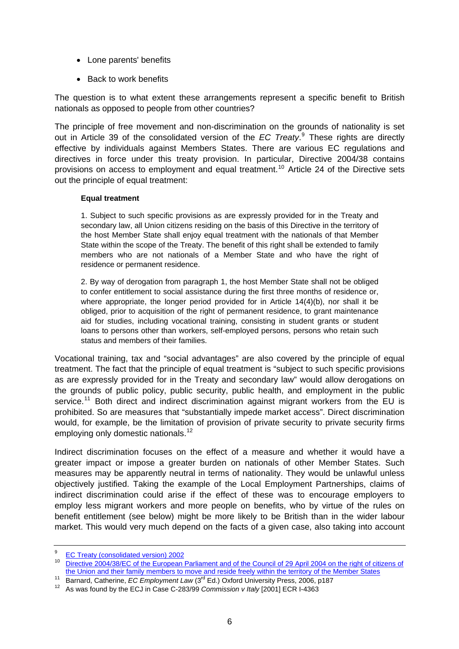- Lone parents' benefits
- Back to work benefits

The question is to what extent these arrangements represent a specific benefit to British nationals as opposed to people from other countries?

The principle of free movement and non-discrimination on the grounds of nationality is set out in Article 39 of the consolidated version of the *EC Treaty*. [9](#page-5-0) These rights are directly effective by individuals against Members States. There are various EC regulations and directives in force under this treaty provision. In particular, Directive 2004/38 contains provisions on access to employment and equal treatment.<sup>[10](#page-5-1)</sup> Article 24 of the Directive sets out the principle of equal treatment:

#### **Equal treatment**

1. Subject to such specific provisions as are expressly provided for in the Treaty and secondary law, all Union citizens residing on the basis of this Directive in the territory of the host Member State shall enjoy equal treatment with the nationals of that Member State within the scope of the Treaty. The benefit of this right shall be extended to family members who are not nationals of a Member State and who have the right of residence or permanent residence.

2. By way of derogation from paragraph 1, the host Member State shall not be obliged to confer entitlement to social assistance during the first three months of residence or, where appropriate, the longer period provided for in Article 14(4)(b), nor shall it be obliged, prior to acquisition of the right of permanent residence, to grant maintenance aid for studies, including vocational training, consisting in student grants or student loans to persons other than workers, self-employed persons, persons who retain such status and members of their families.

Vocational training, tax and "social advantages" are also covered by the principle of equal treatment. The fact that the principle of equal treatment is "subject to such specific provisions as are expressly provided for in the Treaty and secondary law" would allow derogations on the grounds of public policy, public security, public health, and employment in the public service.<sup>[11](#page-5-2)</sup> Both direct and indirect discrimination against migrant workers from the EU is prohibited. So are measures that "substantially impede market access". Direct discrimination would, for example, be the limitation of provision of private security to private security firms employing only domestic nationals.<sup>[12](#page-5-3)</sup>

Indirect discrimination focuses on the effect of a measure and whether it would have a greater impact or impose a greater burden on nationals of other Member States. Such measures may be apparently neutral in terms of nationality. They would be unlawful unless objectively justified. Taking the example of the Local Employment Partnerships, claims of indirect discrimination could arise if the effect of these was to encourage employers to employ less migrant workers and more people on benefits, who by virtue of the rules on benefit entitlement (see below) might be more likely to be British than in the wider labour market. This would very much depend on the facts of a given case, also taking into account

<sup>9</sup> [EC Treaty \(consolidated version\) 2002](http://europa.eu.int/eur-lex/lex/en/treaties/dat/12002E/htm/C_2002325EN.003301.html)

<span id="page-5-1"></span><span id="page-5-0"></span><sup>10</sup> [Directive 2004/38/EC of the European Parliament and of the Council of 29 April 2004 on the right of citizens of](http://eur-lex.europa.eu/LexUriServ/site/en/oj/2004/l_158/l_15820040430en00770123.pdf)  [the Union and their family members to move and reside freely within the territory of the Member States](http://eur-lex.europa.eu/LexUriServ/site/en/oj/2004/l_158/l_15820040430en00770123.pdf)

<span id="page-5-2"></span><sup>&</sup>lt;sup>11</sup> Barnard, Catherine, *EC Employment Law* (3<sup>rd</sup> Ed.) Oxford University Press, 2006, p187<br><sup>12</sup> As was found by the ECJ in Case C-283/99 *Commission v Italy* [2001] ECR I-4363

<span id="page-5-3"></span>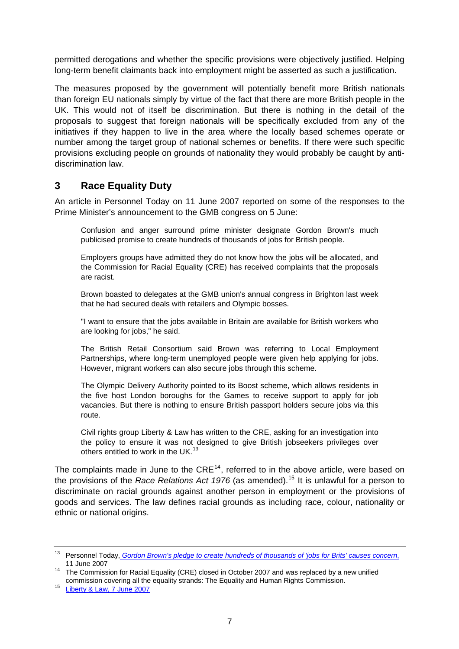<span id="page-6-0"></span>permitted derogations and whether the specific provisions were objectively justified. Helping long-term benefit claimants back into employment might be asserted as such a justification.

The measures proposed by the government will potentially benefit more British nationals than foreign EU nationals simply by virtue of the fact that there are more British people in the UK. This would not of itself be discrimination. But there is nothing in the detail of the proposals to suggest that foreign nationals will be specifically excluded from any of the initiatives if they happen to live in the area where the locally based schemes operate or number among the target group of national schemes or benefits. If there were such specific provisions excluding people on grounds of nationality they would probably be caught by antidiscrimination law.

## **3 Race Equality Duty**

An article in Personnel Today on 11 June 2007 reported on some of the responses to the Prime Minister's announcement to the GMB congress on 5 June:

Confusion and anger surround prime minister designate Gordon Brown's much publicised promise to create hundreds of thousands of jobs for British people.

Employers groups have admitted they do not know how the jobs will be allocated, and the Commission for Racial Equality (CRE) has received complaints that the proposals are racist.

Brown boasted to delegates at the GMB union's annual congress in Brighton last week that he had secured deals with retailers and Olympic bosses.

"I want to ensure that the jobs available in Britain are available for British workers who are looking for jobs," he said.

The British Retail Consortium said Brown was referring to Local Employment Partnerships, where long-term unemployed people were given help applying for jobs. However, migrant workers can also secure jobs through this scheme.

The Olympic Delivery Authority pointed to its Boost scheme, which allows residents in the five host London boroughs for the Games to receive support to apply for job vacancies. But there is nothing to ensure British passport holders secure jobs via this route.

Civil rights group Liberty & Law has written to the CRE, asking for an investigation into the policy to ensure it was not designed to give British jobseekers privileges over others entitled to work in the UK.<sup>[13](#page-6-1)</sup>

The complaints made in June to the  $CRE<sup>14</sup>$  $CRE<sup>14</sup>$  $CRE<sup>14</sup>$ , referred to in the above article, were based on the provisions of the *Race Relations Act 1976* (as amended).[15](#page-6-3) It is unlawful for a person to discriminate on racial grounds against another person in employment or the provisions of goods and services. The law defines racial grounds as including race, colour, nationality or ethnic or national origins.

<span id="page-6-1"></span><sup>13</sup> Personnel Today, *[Gordon Brown's pledge to create hundreds of thousands of 'jobs for Brits' causes concern](http://www.personneltoday.com/articles/2007/06/11/41043/gordon-browns-pledge-to-create-hundreds-of-thousands-of-jobs-for-brits-causes-concern.html)*,

<span id="page-6-2"></span><sup>11</sup> June 2007<br><sup>14</sup> The Commission for Racial Equality (CRE) closed in October 2007 and was replaced by a new unified commission covering all the equality strands: The Equality and Human Rights Commission.<br><sup>15</sup> [Liberty & Law, 7 June 2007](http://www.libertyandlaw.co.uk/page.php?domain_name=libertyandlaw.co.uk&viewpage=news)

<span id="page-6-3"></span>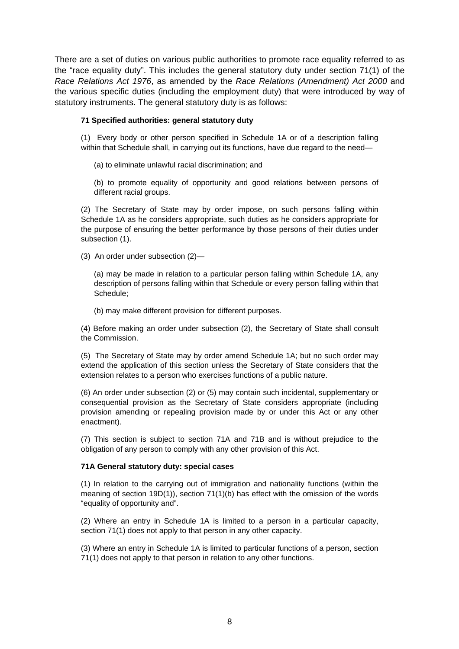There are a set of duties on various public authorities to promote race equality referred to as the "race equality duty". This includes the general statutory duty under section 71(1) of the *Race Relations Act 1976*, as amended by the *Race Relations (Amendment) Act 2000* and the various specific duties (including the employment duty) that were introduced by way of statutory instruments. The general statutory duty is as follows:

#### **71 Specified authorities: general statutory duty**

(1) Every body or other person specified in Schedule 1A or of a description falling within that Schedule shall, in carrying out its functions, have due regard to the need-

(a) to eliminate unlawful racial discrimination; and

(b) to promote equality of opportunity and good relations between persons of different racial groups.

(2) The Secretary of State may by order impose, on such persons falling within Schedule 1A as he considers appropriate, such duties as he considers appropriate for the purpose of ensuring the better performance by those persons of their duties under subsection (1).

(3) An order under subsection (2)—

(a) may be made in relation to a particular person falling within Schedule 1A, any description of persons falling within that Schedule or every person falling within that Schedule;

(b) may make different provision for different purposes.

(4) Before making an order under subsection (2), the Secretary of State shall consult the Commission.

(5) The Secretary of State may by order amend Schedule 1A; but no such order may extend the application of this section unless the Secretary of State considers that the extension relates to a person who exercises functions of a public nature.

(6) An order under subsection (2) or (5) may contain such incidental, supplementary or consequential provision as the Secretary of State considers appropriate (including provision amending or repealing provision made by or under this Act or any other enactment).

(7) This section is subject to section 71A and 71B and is without prejudice to the obligation of any person to comply with any other provision of this Act.

#### **71A General statutory duty: special cases**

(1) In relation to the carrying out of immigration and nationality functions (within the meaning of section 19D(1)), section 71(1)(b) has effect with the omission of the words "equality of opportunity and".

(2) Where an entry in Schedule 1A is limited to a person in a particular capacity, section 71(1) does not apply to that person in any other capacity.

(3) Where an entry in Schedule 1A is limited to particular functions of a person, section 71(1) does not apply to that person in relation to any other functions.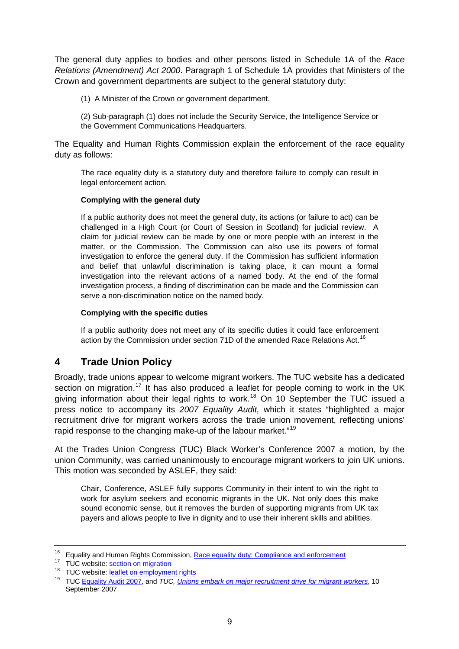<span id="page-8-0"></span>The general duty applies to bodies and other persons listed in Schedule 1A of the *Race Relations (Amendment) Act 2000*. Paragraph 1 of Schedule 1A provides that Ministers of the Crown and government departments are subject to the general statutory duty:

- (1) A Minister of the Crown or government department.
- (2) Sub-paragraph (1) does not include the Security Service, the Intelligence Service or the Government Communications Headquarters.

The Equality and Human Rights Commission explain the enforcement of the race equality duty as follows:

The race equality duty is a statutory duty and therefore failure to comply can result in legal enforcement action.

#### **Complying with the general duty**

If a public authority does not meet the general duty, its actions (or failure to act) can be challenged in a High Court (or Court of Session in Scotland) for judicial review. A claim for judicial review can be made by one or more people with an interest in the matter, or the Commission. The Commission can also use its powers of formal investigation to enforce the general duty. If the Commission has sufficient information and belief that unlawful discrimination is taking place, it can mount a formal investigation into the relevant actions of a named body. At the end of the formal investigation process, a finding of discrimination can be made and the Commission can serve a non-discrimination notice on the named body.

#### **Complying with the specific duties**

If a public authority does not meet any of its specific duties it could face enforcement action by the Commission under section 71D of the amended Race Relations Act.<sup>[16](#page-8-1)</sup>

### **4 Trade Union Policy**

Broadly, trade unions appear to welcome migrant workers. The TUC website has a dedicated section on migration.<sup>[17](#page-8-2)</sup> It has also produced a leaflet for people coming to work in the UK giving information about their legal rights to work.<sup>[18](#page-8-3)</sup> On 10 September the TUC issued a press notice to accompany its *2007 Equality Audit,* which it states "highlighted a major recruitment drive for migrant workers across the trade union movement, reflecting unions' rapid response to the changing make-up of the labour market."<sup>[19](#page-8-4)</sup>

At the Trades Union Congress (TUC) Black Worker's Conference 2007 a motion, by the union Community, was carried unanimously to encourage migrant workers to join UK unions. This motion was seconded by ASLEF, they said:

Chair, Conference, ASLEF fully supports Community in their intent to win the right to work for asylum seekers and economic migrants in the UK. Not only does this make sound economic sense, but it removes the burden of supporting migrants from UK tax payers and allows people to live in dignity and to use their inherent skills and abilities.

<span id="page-8-1"></span><sup>&</sup>lt;sup>16</sup> Equality and Human Rights Commission, **Race equality duty: Compliance and enforcement** <sup>17</sup> TUC website: section on migration

<span id="page-8-4"></span><span id="page-8-3"></span><span id="page-8-2"></span><sup>&</sup>lt;sup>18</sup> TUC website: *seaflet on employment rights* 18 *Tucks on major recruitment drive for migrant workers*, 10<br><sup>19</sup> TUC Equality Audit 200<u>7</u>, and *TUC, <u>[Unions embark on major recruitment drive for migrant workers](http://www.tuc.org.uk/equality/tuc-13693-f0.cfm)</u>, 10* September 2007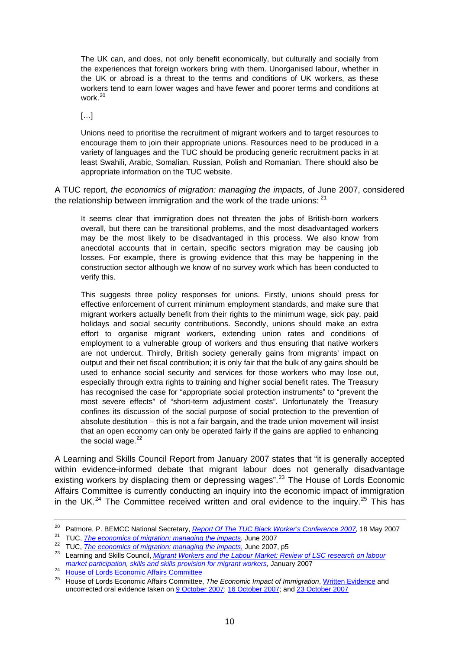The UK can, and does, not only benefit economically, but culturally and socially from the experiences that foreign workers bring with them. Unorganised labour, whether in the UK or abroad is a threat to the terms and conditions of UK workers, as these workers tend to earn lower wages and have fewer and poorer terms and conditions at work.<sup>[20](#page-9-0)</sup>

[…]

Unions need to prioritise the recruitment of migrant workers and to target resources to encourage them to join their appropriate unions. Resources need to be produced in a variety of languages and the TUC should be producing generic recruitment packs in at least Swahili, Arabic, Somalian, Russian, Polish and Romanian. There should also be appropriate information on the TUC website.

A TUC report, *the economics of migration: managing the impacts,* of June 2007, considered the relationship between immigration and the work of the trade unions:  $21$ 

It seems clear that immigration does not threaten the jobs of British-born workers overall, but there can be transitional problems, and the most disadvantaged workers may be the most likely to be disadvantaged in this process. We also know from anecdotal accounts that in certain, specific sectors migration may be causing job losses. For example, there is growing evidence that this may be happening in the construction sector although we know of no survey work which has been conducted to verify this.

This suggests three policy responses for unions. Firstly, unions should press for effective enforcement of current minimum employment standards, and make sure that migrant workers actually benefit from their rights to the minimum wage, sick pay, paid holidays and social security contributions. Secondly, unions should make an extra effort to organise migrant workers, extending union rates and conditions of employment to a vulnerable group of workers and thus ensuring that native workers are not undercut. Thirdly, British society generally gains from migrants' impact on output and their net fiscal contribution; it is only fair that the bulk of any gains should be used to enhance social security and services for those workers who may lose out, especially through extra rights to training and higher social benefit rates. The Treasury has recognised the case for "appropriate social protection instruments" to "prevent the most severe effects" of "short-term adjustment costs". Unfortunately the Treasury confines its discussion of the social purpose of social protection to the prevention of absolute destitution – this is not a fair bargain, and the trade union movement will insist that an open economy can only be operated fairly if the gains are applied to enhancing the social wage.<sup>[22](#page-9-2)</sup>

A Learning and Skills Council Report from January 2007 states that "it is generally accepted within evidence-informed debate that migrant labour does not generally disadvantage existing workers by displacing them or depressing wages".<sup>[23](#page-9-3)</sup> The House of Lords Economic Affairs Committee is currently conducting an inquiry into the economic impact of immigration in the UK.<sup>[24](#page-9-4)</sup> The Committee received written and oral evidence to the inquiry.<sup>[25](#page-9-5)</sup> This has

<span id="page-9-1"></span><span id="page-9-0"></span><sup>&</sup>lt;sup>20</sup> Patmore, P. BEMCC National Secretary, *Report Of The TUC Black Worker's Conference 2007*, 18 May 2007<br><sup>21</sup> TUC, *The economics of migration: managing the impacts*, June 2007<br><sup>22</sup> TUC, *The economics of migration: mana* 

<span id="page-9-3"></span><span id="page-9-2"></span>*market participation[,](http://readingroom.lsc.gov.uk/lsc/National/nat-migrantworkersandthelabourmarket.pdf) skills and skills provision for migrant workers*, January 2007<br>
<u>[House of Lords Economic Affairs Committee](http://www.parliament.uk/parliamentary_committees/lords_economic_affairs.cfm)</u><br>
<sup>25</sup> House of Lords Economic Affaire Committee. The Economic Impact of Inmigratic

<span id="page-9-4"></span>

<span id="page-9-5"></span><sup>25</sup> House of Lords Economic Affairs Committee, *The Economic Impact of Immigration*, [Written Evidence](http://www.parliament.uk/parliamentary_committees/lords_economic_affairs/eaffwrevid.cfm) and uncorrected oral evidence taken on [9 October 2007](http://www.publications.parliament.uk/pa/ld/lduncorr/econ091007ev1.pdf); [16 October 2007](http://www.publications.parliament.uk/pa/ld/lduncorr/econ161007.pdf); and [23 October 2007](http://www.publications.parliament.uk/pa/ld/lduncorr/econ231007.pdf)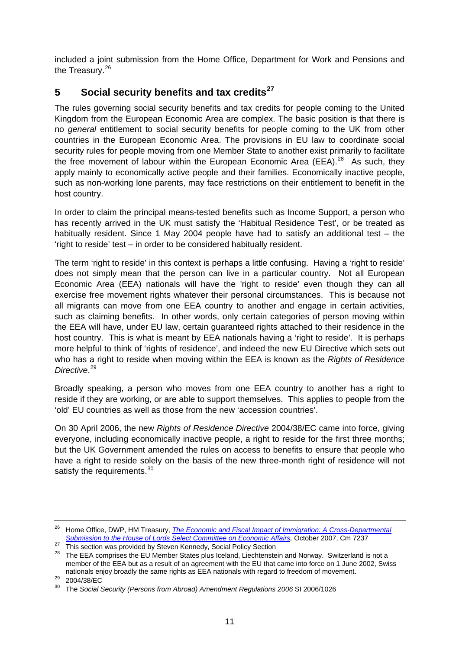<span id="page-10-0"></span>included a joint submission from the Home Office, Department for Work and Pensions and the Treasury.<sup>[26](#page-10-1)</sup>

# **5 Social security benefits and tax credits[27](#page-10-2)**

The rules governing social security benefits and tax credits for people coming to the United Kingdom from the European Economic Area are complex. The basic position is that there is no *general* entitlement to social security benefits for people coming to the UK from other countries in the European Economic Area. The provisions in EU law to coordinate social security rules for people moving from one Member State to another exist primarily to facilitate the free movement of labour within the European Economic Area (EEA).<sup>[28](#page-10-3)</sup> As such, they apply mainly to economically active people and their families. Economically inactive people, such as non-working lone parents, may face restrictions on their entitlement to benefit in the host country.

In order to claim the principal means-tested benefits such as Income Support, a person who has recently arrived in the UK must satisfy the 'Habitual Residence Test', or be treated as habitually resident. Since 1 May 2004 people have had to satisfy an additional test – the 'right to reside' test – in order to be considered habitually resident.

The term 'right to reside' in this context is perhaps a little confusing. Having a 'right to reside' does not simply mean that the person can live in a particular country. Not all European Economic Area (EEA) nationals will have the 'right to reside' even though they can all exercise free movement rights whatever their personal circumstances. This is because not all migrants can move from one EEA country to another and engage in certain activities, such as claiming benefits. In other words, only certain categories of person moving within the EEA will have, under EU law, certain guaranteed rights attached to their residence in the host country. This is what is meant by EEA nationals having a 'right to reside'. It is perhaps more helpful to think of 'rights of residence', and indeed the new EU Directive which sets out who has a right to reside when moving within the EEA is known as the *Rights of Residence Directive*. [29](#page-10-4)

Broadly speaking, a person who moves from one EEA country to another has a right to reside if they are working, or are able to support themselves. This applies to people from the 'old' EU countries as well as those from the new 'accession countries'.

On 30 April 2006, the new *Rights of Residence Directive* 2004/38/EC came into force, giving everyone, including economically inactive people, a right to reside for the first three months; but the UK Government amended the rules on access to benefits to ensure that people who have a right to reside solely on the basis of the new three-month right of residence will not satisfy the requirements.<sup>[30](#page-10-5)</sup>

<span id="page-10-1"></span><sup>26</sup> Home Office, DWP, HM Treasury, *[The Economic and Fiscal Impact of Immigration: A Cross-Departmental](http://image.guardian.co.uk/sys-files/Guardian/documents/2007/10/16/Economic.pdf)  Submission to the House of Lords Select Committee on Economic Affairs,* October 2007, Cm 7237 27 This section was provided by Steven Kennedy, Social Policy Section

<span id="page-10-3"></span><span id="page-10-2"></span><sup>&</sup>lt;sup>28</sup> The EEA comprises the EU Member States plus Iceland, Liechtenstein and Norway. Switzerland is not a member of the EEA but as a result of an agreement with the EU that came into force on 1 June 2002, Swiss nationals enjoy broadly the same rights as EEA nationals with regard to freedom of movement.<br><sup>29</sup> 2004/38/EC

<span id="page-10-5"></span><span id="page-10-4"></span><sup>30</sup> The *Social Security (Persons from Abroad) Amendment Regulations 2006* SI 2006/1026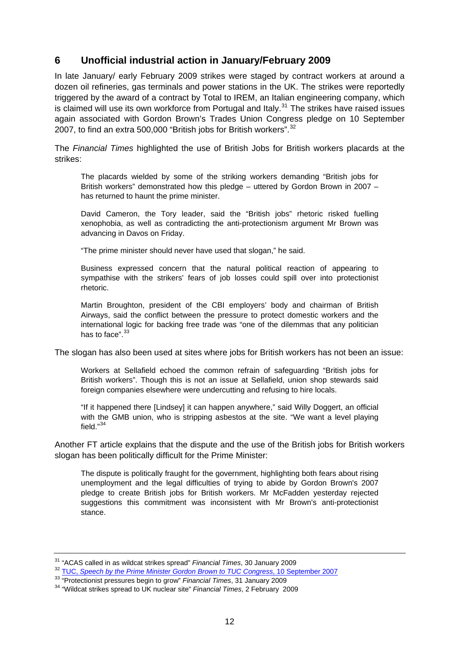# <span id="page-11-0"></span>**6 Unofficial industrial action in January/February 2009**

In late January/ early February 2009 strikes were staged by contract workers at around a dozen oil refineries, gas terminals and power stations in the UK. The strikes were reportedly triggered by the award of a contract by Total to IREM, an Italian engineering company, which is claimed will use its own workforce from Portugal and Italy.<sup>[31](#page-11-1)</sup> The strikes have raised issues again associated with Gordon Brown's Trades Union Congress pledge on 10 September 2007, to find an extra 500,000 "British jobs for British workers".<sup>[32](#page-11-2)</sup>

The *Financial Times* highlighted the use of British Jobs for British workers placards at the strikes:

The placards wielded by some of the striking workers demanding "British jobs for British workers" demonstrated how this pledge – uttered by Gordon Brown in 2007 – has returned to haunt the prime minister.

David Cameron, the Tory leader, said the "British jobs" rhetoric risked fuelling xenophobia, as well as contradicting the anti-protectionism argument Mr Brown was advancing in Davos on Friday.

"The prime minister should never have used that slogan," he said.

Business expressed concern that the natural political reaction of appearing to sympathise with the strikers' fears of job losses could spill over into protectionist rhetoric.

Martin Broughton, president of the CBI employers' body and chairman of British Airways, said the conflict between the pressure to protect domestic workers and the international logic for backing free trade was "one of the dilemmas that any politician has to face". [33](#page-11-3)

The slogan has also been used at sites where jobs for British workers has not been an issue:

Workers at Sellafield echoed the common refrain of safeguarding "British jobs for British workers". Though this is not an issue at Sellafield, union shop stewards said foreign companies elsewhere were undercutting and refusing to hire locals.

"If it happened there [Lindsey] it can happen anywhere," said Willy Doggert, an official with the GMB union, who is stripping asbestos at the site. "We want a level playing field."[34](#page-11-4)

Another FT article explains that the dispute and the use of the British jobs for British workers slogan has been politically difficult for the Prime Minister:

The dispute is politically fraught for the government, highlighting both fears about rising unemployment and the legal difficulties of trying to abide by Gordon Brown's 2007 pledge to create British jobs for British workers. Mr McFadden yesterday rejected suggestions this commitment was inconsistent with Mr Brown's anti-protectionist stance.

<span id="page-11-2"></span><span id="page-11-1"></span><sup>&</sup>lt;sup>31</sup> "ACAS called in as wildcat strikes spread" *Financial Times*, 30 January 2009<br><sup>32</sup> TUC, *[Speech by the Prime Minister Gordon Brown to TUC Congress](http://www.tuc.org.uk/congress/tuc-13692-f0.cfm)*, 10 September 2007<br><sup>33</sup> "Protectionist pressures begin to grow" *Fina* 

<span id="page-11-3"></span>

<span id="page-11-4"></span><sup>&</sup>lt;sup>34</sup> "Wildcat strikes spread to UK nuclear site" *Financial Times*, 2 February 2009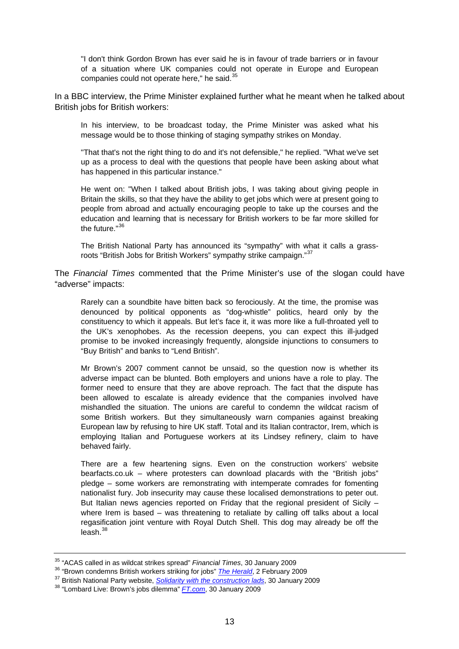"I don't think Gordon Brown has ever said he is in favour of trade barriers or in favour of a situation where UK companies could not operate in Europe and European companies could not operate here," he said.<sup>[35](#page-12-0)</sup>

In a BBC interview, the Prime Minister explained further what he meant when he talked about British jobs for British workers:

In his interview, to be broadcast today, the Prime Minister was asked what his message would be to those thinking of staging sympathy strikes on Monday.

"That that's not the right thing to do and it's not defensible," he replied. "What we've set up as a process to deal with the questions that people have been asking about what has happened in this particular instance."

He went on: "When I talked about British jobs, I was taking about giving people in Britain the skills, so that they have the ability to get jobs which were at present going to people from abroad and actually encouraging people to take up the courses and the education and learning that is necessary for British workers to be far more skilled for the future. $136$  $136$ 

The British National Party has announced its "sympathy" with what it calls a grass-roots "British Jobs for British Workers" sympathy strike campaign."<sup>[37](#page-12-2)</sup>

The *Financial Times* commented that the Prime Minister's use of the slogan could have "adverse" impacts:

Rarely can a soundbite have bitten back so ferociously. At the time, the promise was denounced by political opponents as "dog-whistle" politics, heard only by the constituency to which it appeals. But let's face it, it was more like a full-throated yell to the UK's xenophobes. As the recession deepens, you can expect this ill-judged promise to be invoked increasingly frequently, alongside injunctions to consumers to "Buy British" and banks to "Lend British".

Mr Brown's 2007 comment cannot be unsaid, so the question now is whether its adverse impact can be blunted. Both employers and unions have a role to play. The former need to ensure that they are above reproach. The fact that the dispute has been allowed to escalate is already evidence that the companies involved have mishandled the situation. The unions are careful to condemn the wildcat racism of some British workers. But they simultaneously warn companies against breaking European law by refusing to hire UK staff. Total and its Italian contractor, Irem, which is employing Italian and Portuguese workers at its Lindsey refinery, claim to have behaved fairly.

There are a few heartening signs. Even on the construction workers' website bearfacts.co.uk – where protesters can download placards with the "British jobs" pledge – some workers are remonstrating with intemperate comrades for fomenting nationalist fury. Job insecurity may cause these localised demonstrations to peter out. But Italian news agencies reported on Friday that the regional president of Sicily – where Irem is based – was threatening to retaliate by calling off talks about a local regasification joint venture with Royal Dutch Shell. This dog may already be off the  $leash<sup>38</sup>$  $leash<sup>38</sup>$  $leash<sup>38</sup>$ 

<span id="page-12-1"></span>

<span id="page-12-0"></span><sup>&</sup>lt;sup>35</sup>"ACAS called in as wildcat strikes spread" *Financial Times*, 30 January 2009<br><sup>36</sup> "Brown condemns British workers striking for jobs" *The Herald*, 2 February 2009<br><sup>37</sup> British National Party website, *Solidarity wit* 

<span id="page-12-3"></span><span id="page-12-2"></span>